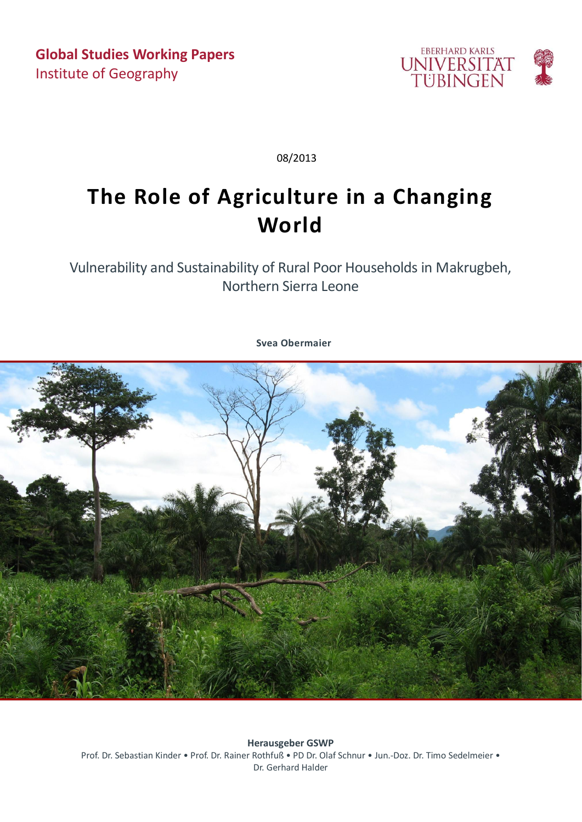

08/2013

## **The Role of Agriculture in a Changing World**

Vulnerability and Sustainability of Rural Poor Households in Makrugbeh, Northern Sierra Leone

**Svea Obermaier**



**Herausgeber GSWP** Prof. Dr. Sebastian Kinder • Prof. Dr. Rainer Rothfuß • PD Dr. Olaf Schnur • Jun.-Doz. Dr. Timo Sedelmeier • Dr. Gerhard Halder